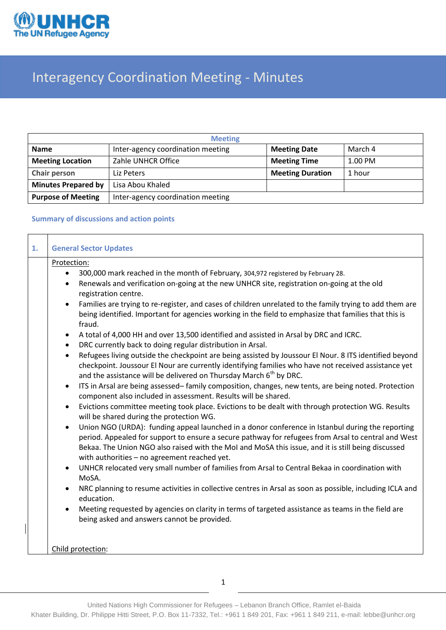

# Interagency Coordination Meeting - Minutes

| <b>Meeting</b>             |                                   |                         |         |  |  |  |
|----------------------------|-----------------------------------|-------------------------|---------|--|--|--|
| <b>Name</b>                | Inter-agency coordination meeting | <b>Meeting Date</b>     | March 4 |  |  |  |
| <b>Meeting Location</b>    | Zahle UNHCR Office                | <b>Meeting Time</b>     | 1.00 PM |  |  |  |
| Chair person               | Liz Peters                        | <b>Meeting Duration</b> | 1 hour  |  |  |  |
| <b>Minutes Prepared by</b> | Lisa Abou Khaled                  |                         |         |  |  |  |
| <b>Purpose of Meeting</b>  | Inter-agency coordination meeting |                         |         |  |  |  |

### **Summary of discussions and action points**

| Protection:                                                                                                                                                                                                                                                                                                                                                                                                                                                                                                                                                                                                                                                                                                                                                                                                                                                                                                                                                                                                                                                                                                                                                                                                                                                                                                                                                                                                                                                                                                                                                                                                                                                                                                                                                                                                                                                                                                                                                                                                                                                                                                                           |
|---------------------------------------------------------------------------------------------------------------------------------------------------------------------------------------------------------------------------------------------------------------------------------------------------------------------------------------------------------------------------------------------------------------------------------------------------------------------------------------------------------------------------------------------------------------------------------------------------------------------------------------------------------------------------------------------------------------------------------------------------------------------------------------------------------------------------------------------------------------------------------------------------------------------------------------------------------------------------------------------------------------------------------------------------------------------------------------------------------------------------------------------------------------------------------------------------------------------------------------------------------------------------------------------------------------------------------------------------------------------------------------------------------------------------------------------------------------------------------------------------------------------------------------------------------------------------------------------------------------------------------------------------------------------------------------------------------------------------------------------------------------------------------------------------------------------------------------------------------------------------------------------------------------------------------------------------------------------------------------------------------------------------------------------------------------------------------------------------------------------------------------|
| 300,000 mark reached in the month of February, 304,972 registered by February 28.<br>$\bullet$<br>Renewals and verification on-going at the new UNHCR site, registration on-going at the old<br>$\bullet$<br>registration centre.<br>Families are trying to re-register, and cases of children unrelated to the family trying to add them are<br>$\bullet$<br>being identified. Important for agencies working in the field to emphasize that families that this is<br>fraud.<br>A total of 4,000 HH and over 13,500 identified and assisted in Arsal by DRC and ICRC.<br>$\bullet$<br>DRC currently back to doing regular distribution in Arsal.<br>$\bullet$<br>Refugees living outside the checkpoint are being assisted by Joussour El Nour. 8 ITS identified beyond<br>$\bullet$<br>checkpoint. Joussour El Nour are currently identifying families who have not received assistance yet<br>and the assistance will be delivered on Thursday March 6 <sup>th</sup> by DRC.<br>ITS in Arsal are being assessed-family composition, changes, new tents, are being noted. Protection<br>$\bullet$<br>component also included in assessment. Results will be shared.<br>Evictions committee meeting took place. Evictions to be dealt with through protection WG. Results<br>$\bullet$<br>will be shared during the protection WG.<br>Union NGO (URDA): funding appeal launched in a donor conference in Istanbul during the reporting<br>$\bullet$<br>period. Appealed for support to ensure a secure pathway for refugees from Arsal to central and West<br>Bekaa. The Union NGO also raised with the MoI and MoSA this issue, and it is still being discussed<br>with authorities - no agreement reached yet.<br>UNHCR relocated very small number of families from Arsal to Central Bekaa in coordination with<br>$\bullet$<br>MoSA.<br>NRC planning to resume activities in collective centres in Arsal as soon as possible, including ICLA and<br>$\bullet$<br>education.<br>Meeting requested by agencies on clarity in terms of targeted assistance as teams in the field are<br>being asked and answers cannot be provided. |
| Child protection:                                                                                                                                                                                                                                                                                                                                                                                                                                                                                                                                                                                                                                                                                                                                                                                                                                                                                                                                                                                                                                                                                                                                                                                                                                                                                                                                                                                                                                                                                                                                                                                                                                                                                                                                                                                                                                                                                                                                                                                                                                                                                                                     |
|                                                                                                                                                                                                                                                                                                                                                                                                                                                                                                                                                                                                                                                                                                                                                                                                                                                                                                                                                                                                                                                                                                                                                                                                                                                                                                                                                                                                                                                                                                                                                                                                                                                                                                                                                                                                                                                                                                                                                                                                                                                                                                                                       |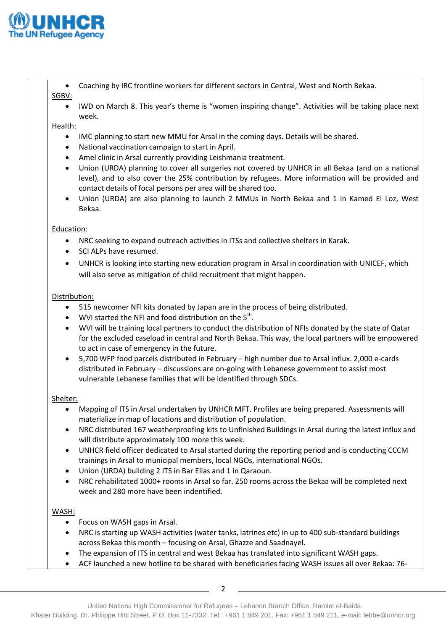

- Coaching by IRC frontline workers for different sectors in Central, West and North Bekaa. SGBV:
	- IWD on March 8. This year's theme is "women inspiring change". Activities will be taking place next week.

### Health:

- IMC planning to start new MMU for Arsal in the coming days. Details will be shared.
- National vaccination campaign to start in April.
- Amel clinic in Arsal currently providing Leishmania treatment.
- Union (URDA) planning to cover all surgeries not covered by UNHCR in all Bekaa (and on a national level), and to also cover the 25% contribution by refugees. More information will be provided and contact details of focal persons per area will be shared too.
- Union (URDA) are also planning to launch 2 MMUs in North Bekaa and 1 in Kamed El Loz, West Bekaa.

### Education:

- NRC seeking to expand outreach activities in ITSs and collective shelters in Karak.
- SCI ALPs have resumed.
- UNHCR is looking into starting new education program in Arsal in coordination with UNICEF, which will also serve as mitigation of child recruitment that might happen.

### Distribution:

- 515 newcomer NFI kits donated by Japan are in the process of being distributed.
- WVI started the NFI and food distribution on the  $5<sup>th</sup>$ .
- WVI will be training local partners to conduct the distribution of NFIs donated by the state of Qatar for the excluded caseload in central and North Bekaa. This way, the local partners will be empowered to act in case of emergency in the future.
- 5,700 WFP food parcels distributed in February high number due to Arsal influx. 2,000 e-cards distributed in February – discussions are on-going with Lebanese government to assist most vulnerable Lebanese families that will be identified through SDCs.

#### Shelter:

- Mapping of ITS in Arsal undertaken by UNHCR MFT. Profiles are being prepared. Assessments will materialize in map of locations and distribution of population.
- NRC distributed 167 weatherproofing kits to Unfinished Buildings in Arsal during the latest influx and will distribute approximately 100 more this week.
- UNHCR field officer dedicated to Arsal started during the reporting period and is conducting CCCM trainings in Arsal to municipal members, local NGOs, international NGOs.
- Union (URDA) building 2 ITS in Bar Elias and 1 in Qaraoun.
- NRC rehabilitated 1000+ rooms in Arsal so far. 250 rooms across the Bekaa will be completed next week and 280 more have been indentified.

## WASH:

- Focus on WASH gaps in Arsal.
- NRC is starting up WASH activities (water tanks, latrines etc) in up to 400 sub-standard buildings across Bekaa this month – focusing on Arsal, Ghazze and Saadnayel.
- The expansion of ITS in central and west Bekaa has translated into significant WASH gaps.
- ACF launched a new hotline to be shared with beneficiaries facing WASH issues all over Bekaa: 76-